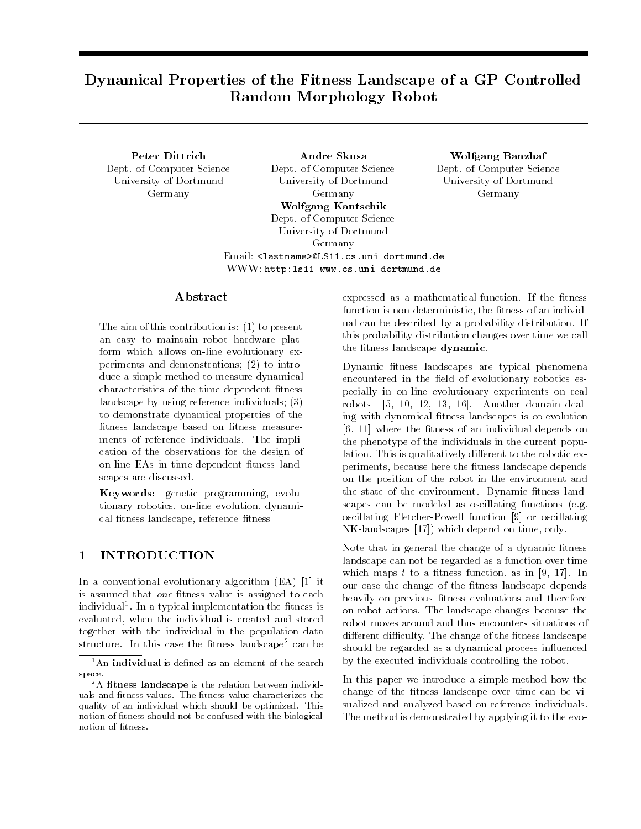# Dynamical Properties of the Fitness Landscape of a GP ControlledRandom Morphology Robot

Peter Dittrich Dept. of Computer Science University of Dortmund Germany

Andre Skusa Dept. of Computer Science University of Dortmund Germany Wolfgang Kantschik Dept. of Computer Science University of Dortmund Germany Email: <lastname>@LS11.cs.uni-dortmund.de WWW: http:ls11-www.cs.uni-dortmund.de

## Wolfgang Banzhaf Dept. of Computer Science University of Dortmund Germany

## Abstract

The aim of this contribution is: (1) to present an easy to maintain robot hardware platform which allows on-line evolutionary experiments and demonstrations; (2) to introduce a simple method to measure dynamical characteristics of the time-dependent fitness landscape by using reference individuals; (3) to demonstrate dynamical properties of the fitness landscape based on fitness measurements of reference individuals. The implication of the observations for the design of on-line EAs in time-dependent fitness landscapes are discussed.

Keywords: genetic programming, evolutionary robotics, on-line evolution, dynamical fitness landscape, reference fitness

### 1 INTRODUCTION

In a conventional evolutionary algorithm (EA) [1] it is assumed that one fitness value is assigned to each individual". In a typical implementation the fitness is evaluated, when the individual is created and stored together with the individual in the population data structure. In this case the fitness landscape<sup>2</sup> can be

expressed as a mathematical function. If the fitness function is non-deterministic, the fitness of an individual can be described by a probability distribution. If this probability distribution changes over time we call the fitness landscape dynamic.

Dynamic fitness landscapes are typical phenomena encountered in the field of evolutionary robotics especially in on-line evolutionary experiments on real robots [5, 10, 12, 13, 16]. Another domain dealing with dynamical fitness landscapes is co-evolution [6, 11] where the fitness of an individual depends on the phenotype of the individuals in the current population. This is qualitatively different to the robotic experiments, because here the fitness landscape depends on the position of the robot in the environment and the state of the environment. Dynamic fitness landscapes can be modeled as oscillating functions (e.g. oscillating Fletcher-Powell function [9] or oscillating NK-landscapes [17]) which depend on time, only.

Note that in general the change of a dynamic fitness landscape can not be regarded as a function over time which maps  $t$  to a fitness function, as in [9, 17]. In our case the change of the fitness landscape depends heavily on previous fitness evaluations and therefore on robot actions. The landscape changes because the robot moves around and thus encounters situations of different difficulty. The change of the fitness landscape should be regarded as a dynamical process influenced by the executed individuals controlling the robot.

In this paper we introduce a simple method how the change of the fitness landscape over time can be visualized and analyzed based on reference individuals. The method is demonstrated by applying it to the evo-

 $1$ An individual is defined as an element of the search space.

 $2A$  fitness landscape is the relation between individuals and fitness values. The fitness value characterizes the quality of an individual which should be optimized. This notion of fitness should not be confused with the biological notion of fitness.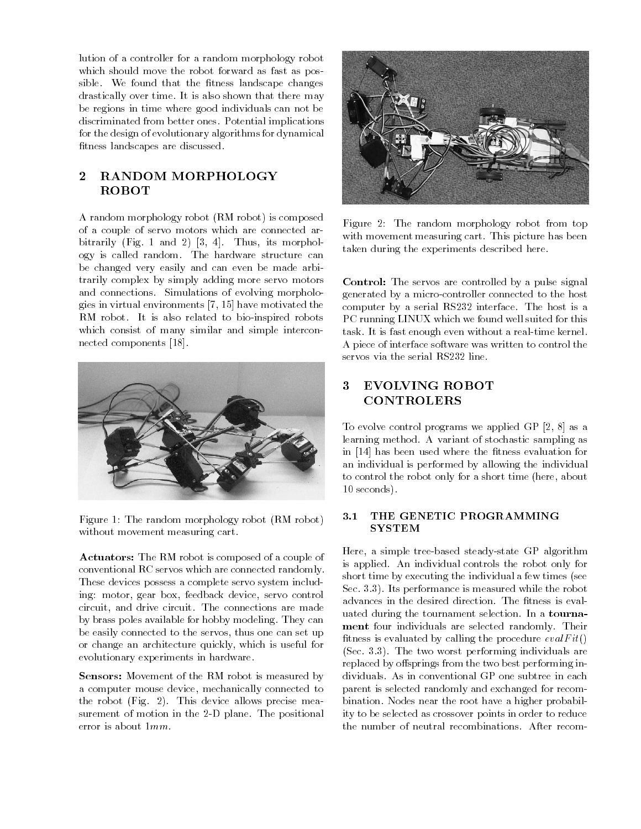lution of a controller for a random morphology robot which should move the robot forward as fast as possible. We found that the fitness landscape changes drastically over time. It is also shown that there may be regions in time where good individuals can not be discriminated from better ones. Potential implications for the design of evolutionary algorithms for dynamical fitness landscapes are discussed.

# 2 RANDOM MORPHOLOGY ROBOT

A random morphology robot (RM robot) is composed of a couple of servo motors which are connected arbitrarily (Fig. 1 and 2) [3, 4]. Thus, its morphology is called random. The hardware structure can be changed very easily and can even be made arbitrarily complex by simply adding more servo motors and connections. Simulations of evolving morphologies in virtual environments [7, 15] have motivated the RM robot. It is also related to bio-inspired robots which consist of many similar and simple interconnected components [18].



Figure 1: The random morphology robot (RM robot) without movement measuring cart.

Actuators: The RM robot is composed of a couple of conventional RC servos which are connected randomly. These devices possess a complete servo system including: motor, gear box, feedback device, servo control circuit, and drive circuit. The connections are made by brass poles available for hobby modeling. They can be easily connected to the servos, thus one can set up or change an architecture quickly, which is useful for evolutionary experiments in hardware.

Sensors: Movement of the RM robot is measured by a computer mouse device, mechanically connected to the robot (Fig. 2). This device allows precise measurement of motion in the 2-D plane. The positional error is about 1mm.



Figure 2: The random morphology robot from top with movement measuring cart. This picture has been taken during the experiments described here.

Control: The servos are controlled by a pulse signal generated by a micro-controller connected to the host computer by a serial RS232 interface. The host is a PC running LINUX which we found well suited for this task. It is fast enough even without a real-time kernel. A piece of interface software was written to control the

# 3 EVOLVING ROBOT CONTROLERS

To evolve control programs we applied GP [2, 8] as a learning method. A variant of stochastic sampling as in [14] has been used where the fitness evaluation for an individual is performed by allowing the individual to control the robot only for a short time (here, about 10 seconds).

# 3.1 THE GENETIC PROGRAMMING

Here, a simple tree-based steady-state GP algorithm is applied. An individual controls the robot only for short time by executing the individual a few times (see Sec. 3.3). Its performance is measured while the robot advances in the desired direction. The fitness is evaluated during the tournament selection. In a tourna ment four individuals are selected randomly. Their fitness is evaluated by calling the procedure  $evalFit()$ (Sec. 3.3). The two worst performing individuals are replaced by offsprings from the two best performing individuals. As in conventional GP one subtree in each parent is selected randomly and exchanged for recombination. Nodes near the root have a higher probability to be selected as crossover points in order to reduce the number of neutral recombinations. After recom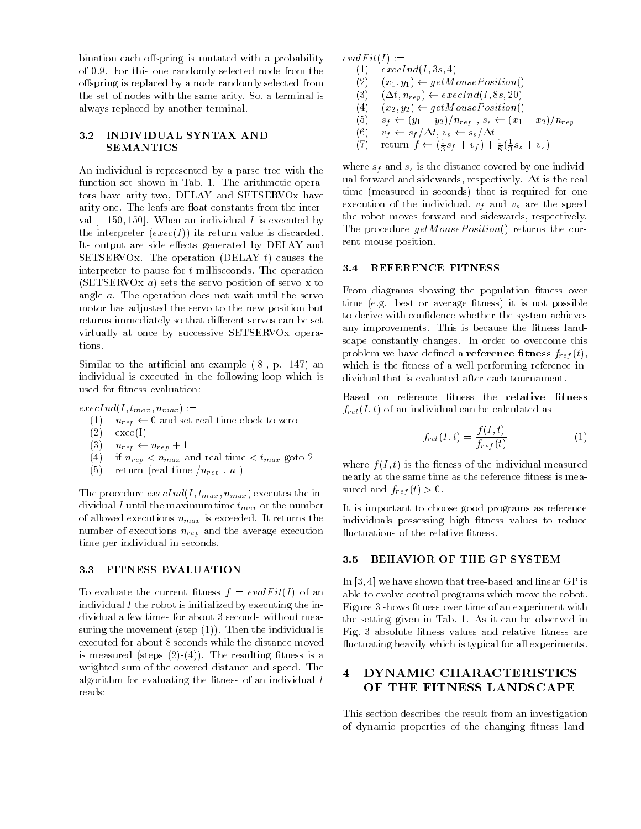bination each offspring is mutated with a probability of 0.9. For this one randomly selected node from the offspring is replaced by a node randomly selected from the set of nodes with the same arity. So, a terminal is always replaced by another terminal.

#### 3.2 INDIVIDUAL SYNTAX AND SEMANTICS

An individual is represented by a parse tree with the function set shown in Tab. 1. The arithmetic operators have arity two, DELAY and SETSERVOx have arity one. The leafs are float constants from the interval  $[-150, 150]$ . When an individual I is executed by the interpreter  $(exec(I))$  its return value is discarded. Its output are side effects generated by DELAY and SETSERVOx. The operation (DELAY  $t$ ) causes the interpreter to pause for <sup>t</sup> milliseconds. The operation (SETSERVOx a) sets the servo position of servo x to angle a. The operation does not wait until the servo motor has adjusted the servo to the new position but returns immediately so that different servos can be set virtually at once by successive SETSERVOx operations.

Similar to the artificial ant example  $([8], p. 147)$  and individual is executed in the following loop which is used for fitness evaluation:

 $e$ *xecInd*(*I*,  $t_{max}$ ,  $n_{max}$ ) :=

- (1)  $n_{rep} \leftarrow 0$  and set real time clock to zero
- $(2)$  exec $(I)$
- $(3)$   $n_{rep} \leftarrow n_{rep} + 1$
- (4) if  $n_{rep} < n_{max}$  and real time  $\lt t_{max}$  goto 2
- (5) return (real time  $/n_{rep}$ , n)

The procedure  $\epsilon x \epsilon c I n d(I, t_{max}, n_{max})$  executes the individual  $I$  until the maximum time  $t_{max}$  or the number of allowed executions  $n_{max}$  is exceeded. It returns the number of executions  $n_{rep}$  and the average execution time per individual in seconds.

#### 3.3 FITNESS EVALUATION

To evaluate the current fitness  $f = evalFit(I)$  of an individual  $I$  the robot is initialized by executing the individual a few times for about 3 seconds without measuring the movement (step  $(1)$ ). Then the individual is executed for about 8 seconds while the distance moved is measured (steps  $(2)-(4)$ ). The resulting fitness is a weighted sum of the covered distance and speed. The algorithm for evaluating the fitness of an individual  $I$ reads:

 $evalFit(I) :=$ 

- $(1)$  execInd $(I, 3s, 4)$ 
	- $(2)$   $(x_1, y_1) \leftarrow getMousePosition()$
	- (3)  $(\Delta t, n_{rep}) \leftarrow \text{e} \text{e} \text{e} \text{c} \text{ln} \text{d} \text{I}, 8 \text{s}, 20$
	- (4)  $(x_2, y_2) \leftarrow getMouse Position()$
	- (5)  $s_f \leftarrow (y_1 y_2)/n_{rep}$ ,  $s_s \leftarrow (x_1 x_2)/n_{rep}$
	- (6)  $v_f \leftarrow s_f/\Delta t, v_s \leftarrow s_s/\Delta t$
- (*i*) return  $f \leftarrow (\frac{1}{3}s_f + v_f) + \frac{1}{8}(\frac{1}{3}s_s + v_s)$

where  $s_f$  and  $s_s$  is the distance covered by one individual forward and sidewards, respectively.  $\Delta t$  is the real time (measured in seconds) that is required for one execution of the individual,  $v_f$  and  $v_s$  are the speed the robot moves forward and sidewards, respectively. The procedure  $getMousePosition()$  returns the current mouse position.

#### 3.4 REFERENCE FITNESS

From diagrams showing the population fitness over time (e.g. best or average fitness) it is not possible to derive with confidence whether the system achieves any improvements. This is because the fitness landscape constantly changes. In order to overcome this problem we have defined a **reference fitness**  $f_{ref}(t)$ , which is the fitness of a well performing reference individual that is evaluated after each tournament.

Based on reference fitness the relative fitness  $f_{rel}(I, t)$  of an individual can be calculated as

$$
f_{rel}(I,t) = \frac{f(I,t)}{f_{ref}(t)}\tag{1}
$$

where  $f(I, t)$  is the fitness of the individual measured nearly at the same time as the reference fitness is measured and  $f_{ref}(t) > 0$ .

It is important to choose good programs as reference individuals possessing high fitness values to reduce fluctuations of the relative fitness.

#### 3.5 BEHAVIOR OF THE GP SYSTEM

In [3, 4] we have shown that tree-based and linear GP is able to evolve control programs which move the robot. Figure 3 shows fitness over time of an experiment with the setting given in Tab. 1. As it can be observed in Fig. 3 absolute fitness values and relative fitness are fluctuating heavily which is typical for all experiments.

# 4 DYNAMIC CHARACTERISTICS OF THE FITNESS LANDSCAPE

This section describes the result from an investigation of dynamic properties of the changing fitness land-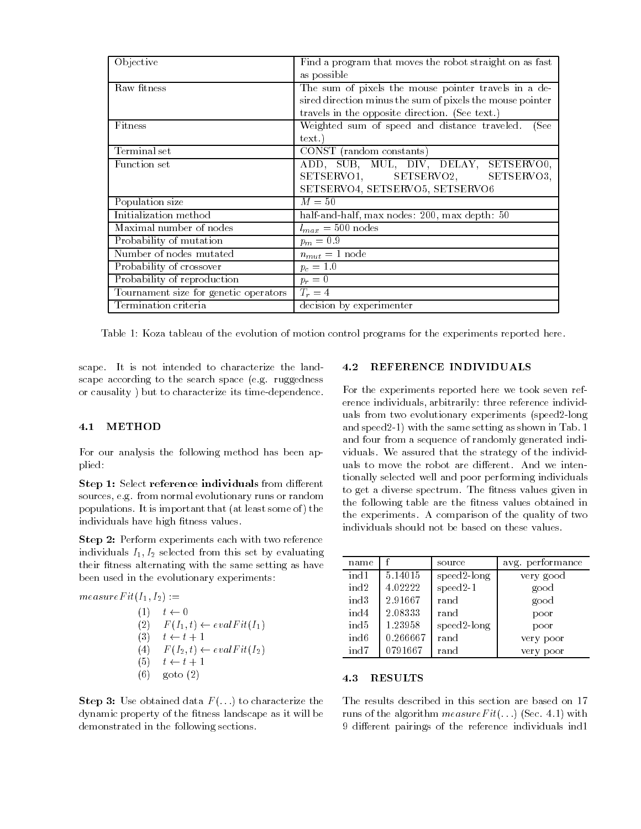| Objective                             | Find a program that moves the robot straight on as fast   |  |
|---------------------------------------|-----------------------------------------------------------|--|
|                                       | as possible                                               |  |
| Raw fitness                           | The sum of pixels the mouse pointer travels in a de-      |  |
|                                       | sired direction minus the sum of pixels the mouse pointer |  |
|                                       | travels in the opposite direction. (See text.)            |  |
| Fitness                               | Weighted sum of speed and distance traveled.<br>(See      |  |
|                                       | text.                                                     |  |
| Terminal set                          | CONST (random constants)                                  |  |
| Function set                          | ADD, SUB, MUL, DIV, DELAY, SETSERVOO,                     |  |
|                                       | SETSERVO3,<br>SETSERVO1, SETSERVO2,                       |  |
|                                       | SETSERVO4, SETSERVO5, SETSERVO6                           |  |
| Population size                       | $M=50$                                                    |  |
| Initialization method                 | half-and-half, max nodes: 200, max depth: 50              |  |
| Maximal number of nodes               | $l_{max} = 500$ nodes                                     |  |
| Probability of mutation               | $p_m = 0.9$                                               |  |
| Number of nodes mutated               | $n_{mut} = 1$ node                                        |  |
| Probability of crossover              | $p_c = 1.0$                                               |  |
| Probability of reproduction           | $p_r=0$                                                   |  |
| Tournament size for genetic operators | $T_r=4$                                                   |  |
| Termination criteria                  | decision by experimenter                                  |  |

Table 1: Koza tableau of the evolution of motion control programs for the experiments reported here.

scape. It is not intended to characterize the landscape according to the search space (e.g. ruggedness or causality ) but to characterize its time-dependence.

#### 4.1 METHOD

For our analysis the following method has been applied:

Step 1: Select reference individuals from different sources, e.g. from normal evolutionary runs or random populations. It is important that (at least some of) the individuals have high fitness values.

Step 2: Perform experiments each with two reference individuals  $I_1, I_2$  selected from this set by evaluating their fitness alternating with the same setting as have been used in the evolutionary experiments:

 $measureFit(I_1, I_2) :=$ 

$$
(1) \t t \leftarrow 0
$$
  
\n
$$
(2) \t F(I_1, t) \leftarrow evalFit(I_1)
$$
  
\n
$$
(3) \t t \leftarrow t + 1
$$
  
\n
$$
(4) \t F(I_2, t) \leftarrow evalFit(I_2)
$$
  
\n
$$
(5) \t t \leftarrow t + 1
$$
  
\n
$$
(6) \t go to (2)
$$

**Step 3:** Use obtained data  $F(\ldots)$  to characterize the dynamic property of the fitness landscape as it will be demonstrated in the following sections.

#### 4.2 REFERENCE INDIVIDUALS

For the experiments reported here we took seven reference individuals, arbitrarily: three reference individuals from two evolutionary experiments (speed2-long and speed2-1) with the same setting as shown in Tab. 1 and four from a sequence of randomly generated individuals. We assured that the strategy of the individuals to move the robot are different. And we intentionally selected well and poor performing individuals to get a diverse spectrum. The fitness values given in the following table are the fitness values obtained in the experiments. A comparison of the quality of two individuals should not be based on these values.

| name             |          | source         | avg. performance |
|------------------|----------|----------------|------------------|
| ind1             | 5.14015  | $speed2$ -long | very good        |
| ind2             | 4.02222  | $speed2-1$     | good             |
| ind3             | 2.91667  | rand           | good             |
| ind4             | 2.08333  | rand           | poor             |
| ind5             | 1.23958  | $speed2$ -long | poor             |
| ind <sub>6</sub> | 0.266667 | rand           | very poor        |
| ind7             | 0791667  | rand           | very poor        |

#### 4.3 RESULTS

The results described in this section are based on 17 runs of the algorithm  $measureFit(...)$  (Sec. 4.1) with 9 different pairings of the reference individuals ind1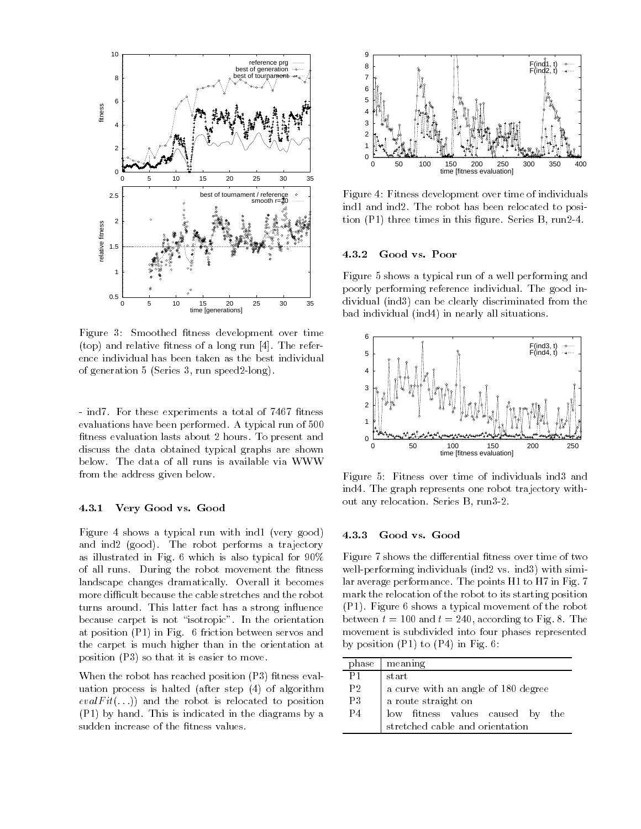

Figure 3: Smoothed fitness development over time (top) and relative fitness of a long run  $[4]$ . The reference individual has been taken as the best individual of generation 5 (Series 3, run speed2-long).

- ind7. For these experiments a total of 7467 fitness evaluations have been performed. A typical run of 500 fitness evaluation lasts about 2 hours. To present and discuss the data obtained typical graphs are shown below. The data of all runs is available via WWW from the address given below.

#### 4.3.1 Very Good vs. Good

Figure 4 shows a typical run with ind1 (very good) and ind2 (good). The robot performs a trajectory as illustrated in Fig. 6 which is also typical for 90% of all runs. During the robot movement the fitness landscape changes dramatically. Overall it becomes more difficult because the cable stretches and the robot turns around. This latter fact has a strong influence because carpet is not "isotropic". In the orientation at position (P1) in Fig. 6 friction between servos and the carpet is much higher than in the orientation at position (P3) so that it is easier to move.

When the robot has reached position  $(P3)$  fitness evaluation process is halted (after step (4) of algorithm  $evalFit(...)$  and the robot is relocated to position (P1) by hand. This is indicated in the diagrams by a sudden increase of the fitness values.



Figure 4: Fitness development over time of individuals ind1 and ind2. The robot has been relocated to position  $(P1)$  three times in this figure. Series B, run2-4.

#### 4.3.2 Good vs. Poor

Figure 5 shows a typical run of a well performing and poorly performing reference individual. The good individual (ind3) can be clearly discriminated from the bad individual (ind4) in nearly all situations.



Figure 5: Fitness over time of individuals ind3 and ind4. The graph represents one robot trajectory without any relocation. Series B, run3-2.

#### 4.3.3 Good vs. Good

Figure 7 shows the differential fitness over time of two well-performing individuals (ind2 vs. ind3) with similar average performance. The points H1 to H7 in Fig. 7 mark the relocation of the robot to its starting position (P1). Figure 6 shows a typical movement of the robot between  $t = 100$  and  $t = 240$ , according to Fig. 8. The movement is subdivided into four phases represented by position  $(P1)$  to  $(P4)$  in Fig. 6:

| phase | meaning                             |  |
|-------|-------------------------------------|--|
| P1    | start                               |  |
| P2    | a curve with an angle of 180 degree |  |
| P3    | a route straight on                 |  |
| P4    | low fitness values caused by<br>the |  |
|       | stretched cable and orientation     |  |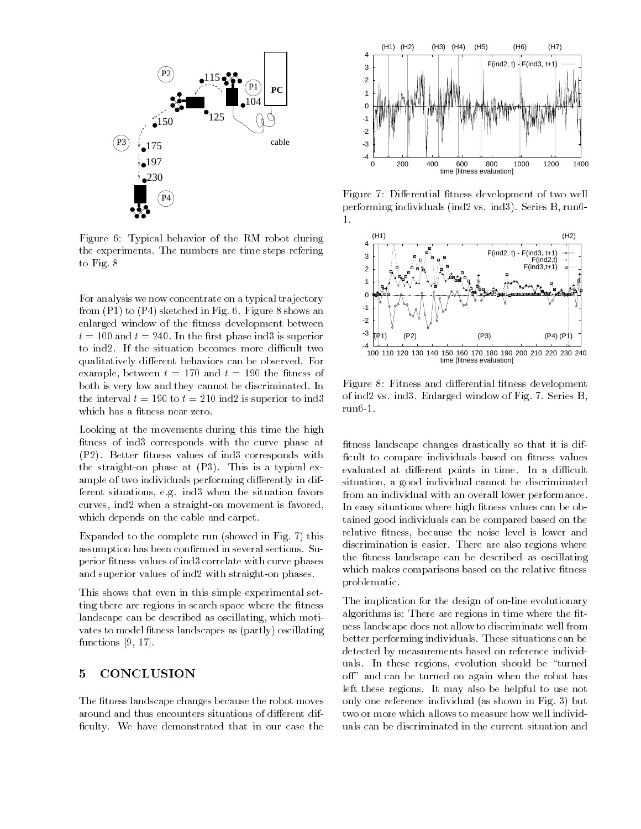

Figure 6: Typical behavior of the RM robot during the experiments. The numbers are time steps refering to Fig. 8

For analysis we now concentrate on a typical trajectory from (P1) to (P4) sketched in Fig. 6. Figure 8 shows an enlarged window of the fitness development between  $\mathbf{v}$  = 100 and  $\mathbf{v}$  = 10. In the most phase index is superior to ind2. If the situation becomes more difficult two qualitatively different behaviors can be observed. For example, between  $t = 170$  and  $t = 190$  the fitness of both is very low and they cannot be discriminated. In the interval  $t = 190$  to  $t = 210$  ind2 is superior to ind3 which has a fitness near zero.

Looking at the movements during this time the high fitness of ind3 corresponds with the curve phase at (P2). Better fitness values of ind3 corresponds with the straight-on phase at (P3). This is a typical example of two individuals performing differently in different situations, e.g. ind3 when the situation favors curves, ind2 when a straight-on movement is favored, which depends on the cable and carpet.

Expanded to the complete run (showed in Fig. 7) this assumption has been confirmed in several sections. Superior fitness values of ind3 correlate with curve phases and superior values of ind2 with straight-on phases.

This shows that even in this simple experimental setting there are regions in search space where the fitness landscape can be described as oscillating, which motivates to model fitness landscapes as (partly) oscillating functions [9, 17].

# 5 CONCLUSION

The fitness landscape changes because the robot moves around and thus encounters situations of different difficulty. We have demonstrated that in our case the



Figure 7: Differential fitness development of two well performing individuals (ind2 vs. ind3). Series B, run6-  $\mathbf{1}$ 



Figure 8: Fitness and differential fitness development of ind2 vs. ind3. Enlarged window of Fig. 7. Series B, run6-1.

fitness landscape changes drastically so that it is difficult to compare individuals based on fitness values evaluated at different points in time. In a difficult situation, a good individual cannot be discriminated from an individual with an overall lower performance. In easy situations where high fitness values can be obtained good individuals can be compared based on the relative fitness, because the noise level is lower and discrimination is easier. There are also regions where the fitness landscape can be described as oscillating which makes comparisons based on the relative fitness problematic.

The implication for the design of on-line evolutionary algorithms is: There are regions in time where the fitness landscape does not allow to discriminate well from better performing individuals. These situations can be detected by measurements based on reference individuals. In these regions, evolution should be "turned off" and can be turned on again when the robot has left these regions. It may also be helpful to use not only one reference individual (as shown in Fig. 3) but two or more which allows to measure how well individuals can be discriminated in the current situation and